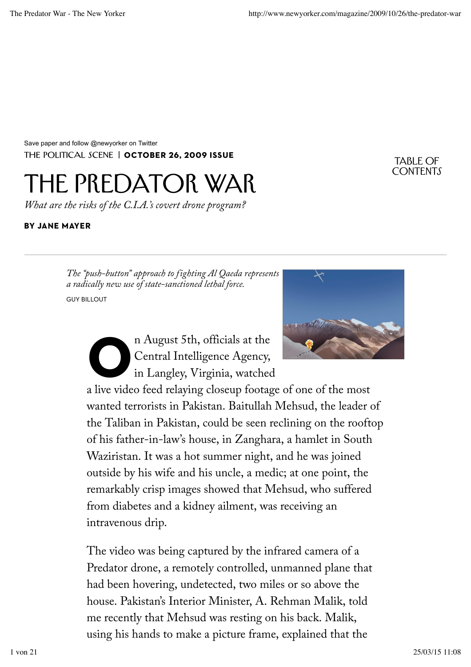THE POLITICAL SCENE | OCTOBER 26, 2009 ISSUE Save paper and follow @newyorker on Twitter

## The Predator War

*What are the risks of the C.I.A.'s covert drone program?*

## **BY JANE MAYER**

*The "push-button" approach to fighting Al Qaeda represents a radically new use of state-sanctioned lethal force.* GUY BILLOUT

OU Central Intelligence Agency,<br>
in Langley, Virginia, watched<br>
a live video feed relaying closeup footage of one of the most n August 5th, officials at the Central Intelligence Agency, in Langley, Virginia, watched



wanted terrorists in Pakistan. Baitullah Mehsud, the leader of the Taliban in Pakistan, could be seen reclining on the rooftop of his father-in-law's house, in Zanghara, a hamlet in South Waziristan. It was a hot summer night, and he was joined outside by his wife and his uncle, a medic; at one point, the remarkably crisp images showed that Mehsud, who suffered from diabetes and a kidney ailment, was receiving an intravenous drip.

The video was being captured by the infrared camera of a Predator drone, a remotely controlled, unmanned plane that had been hovering, undetected, two miles or so above the house. Pakistan's Interior Minister, A. Rehman Malik, told me recently that Mehsud was resting on his back. Malik, using his hands to make a picture frame, explained that the

## TABLE OF **CONTENTS**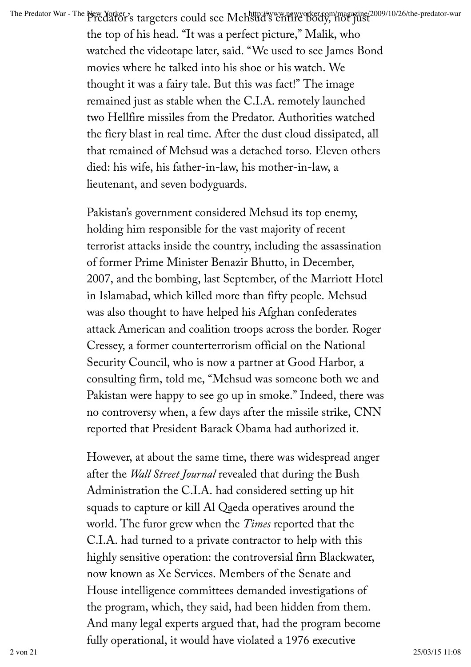The Predator War - The New Yorker.'s targeters could see Mehsud's entire body, not just<br>The Predator War - The New Yorker.'s targeters could see Mehsud's entire body, not just the top of his head. "It was a perfect picture," Malik, who watched the videotape later, said. "We used to see James Bond movies where he talked into his shoe or his watch. We thought it was a fairy tale. But this was fact!" The image remained just as stable when the C.I.A. remotely launched two Hellfire missiles from the Predator. Authorities watched the fiery blast in real time. After the dust cloud dissipated, all that remained of Mehsud was a detached torso. Eleven others died: his wife, his father-in-law, his mother-in-law, a lieutenant, and seven bodyguards.

> Pakistan's government considered Mehsud its top enemy, holding him responsible for the vast majority of recent terrorist attacks inside the country, including the assassination of former Prime Minister Benazir Bhutto, in December, 2007, and the bombing, last September, of the Marriott Hotel in Islamabad, which killed more than fifty people. Mehsud was also thought to have helped his Afghan confederates attack American and coalition troops across the border. Roger Cressey, a former counterterrorism official on the National Security Council, who is now a partner at Good Harbor, a consulting firm, told me, "Mehsud was someone both we and Pakistan were happy to see go up in smoke." Indeed, there was no controversy when, a few days after the missile strike, CNN reported that President Barack Obama had authorized it.

> However, at about the same time, there was widespread anger after the *Wall Street Journal* revealed that during the Bush Administration the C.I.A. had considered setting up hit squads to capture or kill Al Qaeda operatives around the world. The furor grew when the *Times* reported that the C.I.A. had turned to a private contractor to help with this highly sensitive operation: the controversial firm Blackwater, now known as Xe Services. Members of the Senate and House intelligence committees demanded investigations of the program, which, they said, had been hidden from them. And many legal experts argued that, had the program become fully operational, it would have violated a 1976 executive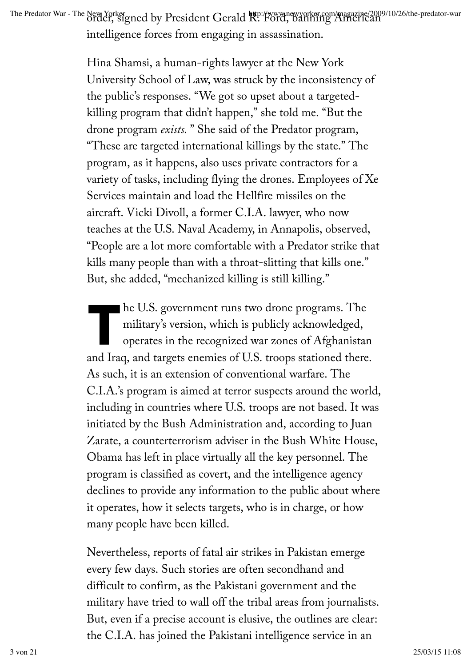The Predator War - The New Yorker<br>Order, signed by President Gerald R. Ford, banning American intelligence forces from engaging in assassination.

> Hina Shamsi, a human-rights lawyer at the New York University School of Law, was struck by the inconsistency of the public's responses. "We got so upset about a targetedkilling program that didn't happen," she told me. "But the drone program *exists.* " She said of the Predator program, "These are targeted international killings by the state." The program, as it happens, also uses private contractors for a variety of tasks, including flying the drones. Employees of Xe Services maintain and load the Hellfire missiles on the aircraft. Vicki Divoll, a former C.I.A. lawyer, who now teaches at the U.S. Naval Academy, in Annapolis, observed, "People are a lot more comfortable with a Predator strike that kills many people than with a throat-slitting that kills one." But, she added, "mechanized killing is still killing."

> The U.S. government runs two drone programs. The<br>
> military's version, which is publicly acknowledged,<br>
> operates in the recognized war zones of Afghanistan<br>
> and Iraq, and targets enemies of U.S. troops stationed there. he U.S. government runs two drone programs. The military's version, which is publicly acknowledged, operates in the recognized war zones of Afghanistan As such, it is an extension of conventional warfare. The C.I.A.'s program is aimed at terror suspects around the world, including in countries where U.S. troops are not based. It was initiated by the Bush Administration and, according to Juan Zarate, a counterterrorism adviser in the Bush White House, Obama has left in place virtually all the key personnel. The program is classified as covert, and the intelligence agency declines to provide any information to the public about where it operates, how it selects targets, who is in charge, or how many people have been killed.

Nevertheless, reports of fatal air strikes in Pakistan emerge every few days. Such stories are often secondhand and difficult to confirm, as the Pakistani government and the military have tried to wall off the tribal areas from journalists. But, even if a precise account is elusive, the outlines are clear: the C.I.A. has joined the Pakistani intelligence service in an

3 von 21 25/03/15 11:08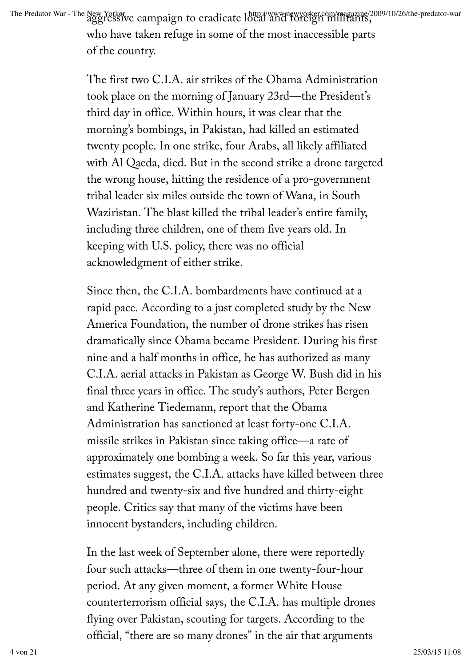The Predator War - The New Yorker campaign to eradicate local and foreign militants, who have taken refuge in some of the most inaccessible parts of the country.

> The first two C.I.A. air strikes of the Obama Administration took place on the morning of January 23rd—the President's third day in office. Within hours, it was clear that the morning's bombings, in Pakistan, had killed an estimated twenty people. In one strike, four Arabs, all likely affiliated with Al Qaeda, died. But in the second strike a drone targeted the wrong house, hitting the residence of a pro-government tribal leader six miles outside the town of Wana, in South Waziristan. The blast killed the tribal leader's entire family, including three children, one of them five years old. In keeping with U.S. policy, there was no official acknowledgment of either strike.

> Since then, the C.I.A. bombardments have continued at a rapid pace. According to a just completed study by the New America Foundation, the number of drone strikes has risen dramatically since Obama became President. During his first nine and a half months in office, he has authorized as many C.I.A. aerial attacks in Pakistan as George W. Bush did in his final three years in office. The study's authors, Peter Bergen and Katherine Tiedemann, report that the Obama Administration has sanctioned at least forty-one C.I.A. missile strikes in Pakistan since taking office—a rate of approximately one bombing a week. So far this year, various estimates suggest, the C.I.A. attacks have killed between three hundred and twenty-six and five hundred and thirty-eight people. Critics say that many of the victims have been innocent bystanders, including children.

In the last week of September alone, there were reportedly four such attacks—three of them in one twenty-four-hour period. At any given moment, a former White House counterterrorism official says, the C.I.A. has multiple drones flying over Pakistan, scouting for targets. According to the official, "there are so many drones" in the air that arguments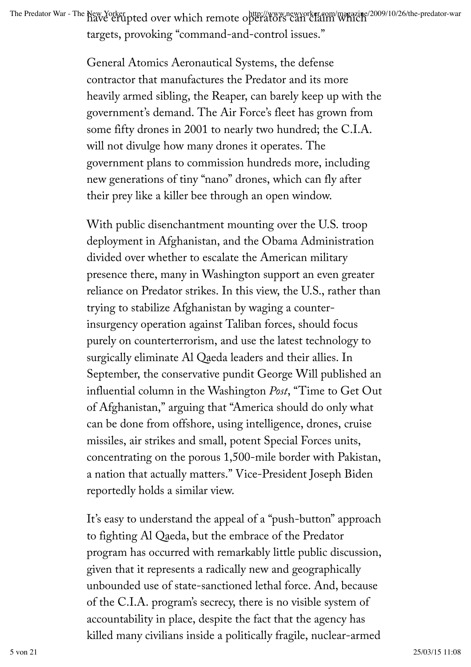The Predator War - The New Yorker pted over which remote operators can claim which targets, provoking "command-and-control issues."

> General Atomics Aeronautical Systems, the defense contractor that manufactures the Predator and its more heavily armed sibling, the Reaper, can barely keep up with the government's demand. The Air Force's fleet has grown from some fifty drones in 2001 to nearly two hundred; the C.I.A. will not divulge how many drones it operates. The government plans to commission hundreds more, including new generations of tiny "nano" drones, which can fly after their prey like a killer bee through an open window.

> With public disenchantment mounting over the U.S. troop deployment in Afghanistan, and the Obama Administration divided over whether to escalate the American military presence there, many in Washington support an even greater reliance on Predator strikes. In this view, the U.S., rather than trying to stabilize Afghanistan by waging a counterinsurgency operation against Taliban forces, should focus purely on counterterrorism, and use the latest technology to surgically eliminate Al Qaeda leaders and their allies. In September, the conservative pundit George Will published an influential column in the Washington *Post*, "Time to Get Out of Afghanistan," arguing that "America should do only what can be done from offshore, using intelligence, drones, cruise missiles, air strikes and small, potent Special Forces units, concentrating on the porous 1,500-mile border with Pakistan, a nation that actually matters." Vice-President Joseph Biden reportedly holds a similar view.

> It's easy to understand the appeal of a "push-button" approach to fighting Al Qaeda, but the embrace of the Predator program has occurred with remarkably little public discussion, given that it represents a radically new and geographically unbounded use of state-sanctioned lethal force. And, because of the C.I.A. program's secrecy, there is no visible system of accountability in place, despite the fact that the agency has killed many civilians inside a politically fragile, nuclear-armed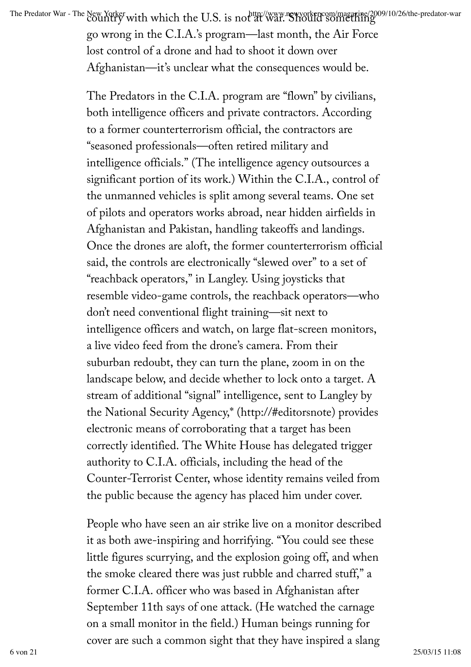The Predator War - The New Yorker with which the U.S. is not at war. Should something  $2009/10/26$ /the-predator-war go wrong in the C.I.A.'s program—last month, the Air Force lost control of a drone and had to shoot it down over Afghanistan—it's unclear what the consequences would be.

> The Predators in the C.I.A. program are "flown" by civilians, both intelligence officers and private contractors. According to a former counterterrorism official, the contractors are "seasoned professionals—often retired military and intelligence officials." (The intelligence agency outsources a significant portion of its work.) Within the C.I.A., control of the unmanned vehicles is split among several teams. One set of pilots and operators works abroad, near hidden airfields in Afghanistan and Pakistan, handling takeoffs and landings. Once the drones are aloft, the former counterterrorism official said, the controls are electronically "slewed over" to a set of "reachback operators," in Langley. Using joysticks that resemble video-game controls, the reachback operators—who don't need conventional flight training—sit next to intelligence officers and watch, on large flat-screen monitors, a live video feed from the drone's camera. From their suburban redoubt, they can turn the plane, zoom in on the landscape below, and decide whether to lock onto a target. A stream of additional "signal" intelligence, sent to Langley by the National Security Agency,\* (http://#editorsnote) provides electronic means of corroborating that a target has been correctly identified. The White House has delegated trigger authority to C.I.A. officials, including the head of the Counter-Terrorist Center, whose identity remains veiled from the public because the agency has placed him under cover.

> People who have seen an air strike live on a monitor described it as both awe-inspiring and horrifying. "You could see these little figures scurrying, and the explosion going off, and when the smoke cleared there was just rubble and charred stuff," a former C.I.A. officer who was based in Afghanistan after September 11th says of one attack. (He watched the carnage on a small monitor in the field.) Human beings running for cover are such a common sight that they have inspired a slang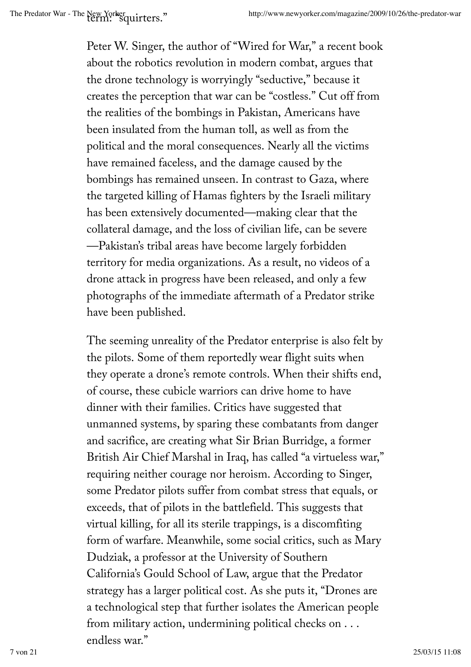Peter W. Singer, the author of "Wired for War," a recent book about the robotics revolution in modern combat, argues that the drone technology is worryingly "seductive," because it creates the perception that war can be "costless." Cut off from the realities of the bombings in Pakistan, Americans have been insulated from the human toll, as well as from the political and the moral consequences. Nearly all the victims have remained faceless, and the damage caused by the bombings has remained unseen. In contrast to Gaza, where the targeted killing of Hamas fighters by the Israeli military has been extensively documented—making clear that the collateral damage, and the loss of civilian life, can be severe —Pakistan's tribal areas have become largely forbidden territory for media organizations. As a result, no videos of a drone attack in progress have been released, and only a few photographs of the immediate aftermath of a Predator strike have been published.

The seeming unreality of the Predator enterprise is also felt by the pilots. Some of them reportedly wear flight suits when they operate a drone's remote controls. When their shifts end, of course, these cubicle warriors can drive home to have dinner with their families. Critics have suggested that unmanned systems, by sparing these combatants from danger and sacrifice, are creating what Sir Brian Burridge, a former British Air Chief Marshal in Iraq, has called "a virtueless war," requiring neither courage nor heroism. According to Singer, some Predator pilots suffer from combat stress that equals, or exceeds, that of pilots in the battlefield. This suggests that virtual killing, for all its sterile trappings, is a discomfiting form of warfare. Meanwhile, some social critics, such as Mary Dudziak, a professor at the University of Southern California's Gould School of Law, argue that the Predator strategy has a larger political cost. As she puts it, "Drones are a technological step that further isolates the American people from military action, undermining political checks on . . . endless war."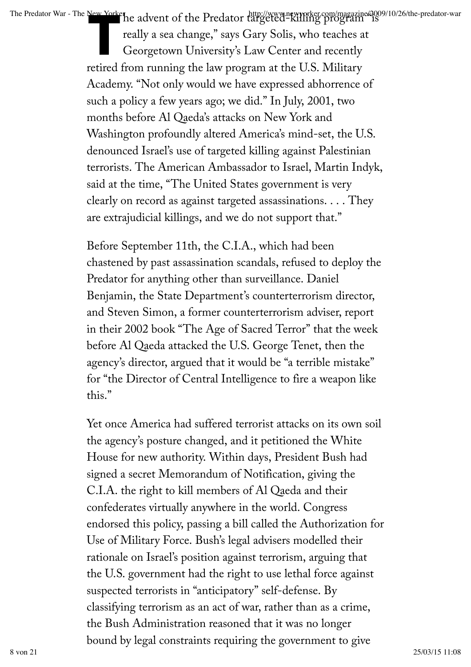The Predator War - The New Yorker http://www.newyorker.com/magazine/2009/10/26/the-predator-war

The advent of the Predator targeted-killing program "is<br>really a sea change," says Gary Solis, who teaches at<br>Georgetown University's Law Center and recently<br>retired from running the law program at the U.S. Military really a sea change," says Gary Solis, who teaches at Georgetown University's Law Center and recently retired from running the law program at the U.S. Military Academy. "Not only would we have expressed abhorrence of such a policy a few years ago; we did." In July, 2001, two months before Al Qaeda's attacks on New York and Washington profoundly altered America's mind-set, the U.S. denounced Israel's use of targeted killing against Palestinian terrorists. The American Ambassador to Israel, Martin Indyk, said at the time, "The United States government is very clearly on record as against targeted assassinations. . . . They are extrajudicial killings, and we do not support that."

Before September 11th, the C.I.A., which had been chastened by past assassination scandals, refused to deploy the Predator for anything other than surveillance. Daniel Benjamin, the State Department's counterterrorism director, and Steven Simon, a former counterterrorism adviser, report in their 2002 book "The Age of Sacred Terror" that the week before Al Qaeda attacked the U.S. George Tenet, then the agency's director, argued that it would be "a terrible mistake" for "the Director of Central Intelligence to fire a weapon like this."

Yet once America had suffered terrorist attacks on its own soil the agency's posture changed, and it petitioned the White House for new authority. Within days, President Bush had signed a secret Memorandum of Notification, giving the C.I.A. the right to kill members of Al Qaeda and their confederates virtually anywhere in the world. Congress endorsed this policy, passing a bill called the Authorization for Use of Military Force. Bush's legal advisers modelled their rationale on Israel's position against terrorism, arguing that the U.S. government had the right to use lethal force against suspected terrorists in "anticipatory" self-defense. By classifying terrorism as an act of war, rather than as a crime, the Bush Administration reasoned that it was no longer bound by legal constraints requiring the government to give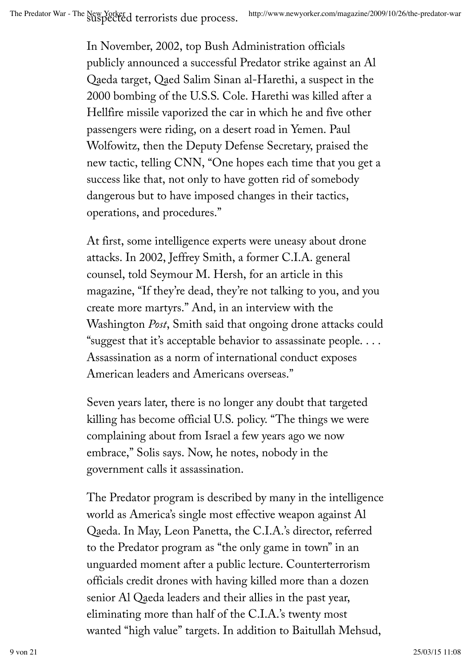In November, 2002, top Bush Administration officials publicly announced a successful Predator strike against an Al Qaeda target, Qaed Salim Sinan al-Harethi, a suspect in the 2000 bombing of the U.S.S. Cole. Harethi was killed after a Hellfire missile vaporized the car in which he and five other passengers were riding, on a desert road in Yemen. Paul Wolfowitz, then the Deputy Defense Secretary, praised the new tactic, telling CNN, "One hopes each time that you get a success like that, not only to have gotten rid of somebody dangerous but to have imposed changes in their tactics, operations, and procedures."

At first, some intelligence experts were uneasy about drone attacks. In 2002, Jeffrey Smith, a former C.I.A. general counsel, told Seymour M. Hersh, for an article in this magazine, "If they're dead, they're not talking to you, and you create more martyrs." And, in an interview with the Washington *Post*, Smith said that ongoing drone attacks could "suggest that it's acceptable behavior to assassinate people. . . . Assassination as a norm of international conduct exposes American leaders and Americans overseas."

Seven years later, there is no longer any doubt that targeted killing has become official U.S. policy. "The things we were complaining about from Israel a few years ago we now embrace," Solis says. Now, he notes, nobody in the government calls it assassination.

The Predator program is described by many in the intelligence world as America's single most effective weapon against Al Qaeda. In May, Leon Panetta, the C.I.A.'s director, referred to the Predator program as "the only game in town" in an unguarded moment after a public lecture. Counterterrorism officials credit drones with having killed more than a dozen senior Al Qaeda leaders and their allies in the past year, eliminating more than half of the C.I.A.'s twenty most wanted "high value" targets. In addition to Baitullah Mehsud,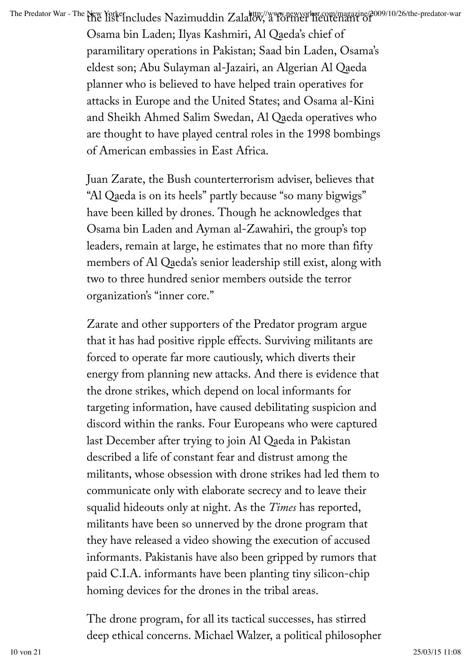The Predator War - The New Yorker includes  $Nazimuddin Zala\llap{http://www.newyorker.com/magazine/2009/10/26/the-predator-war}$ 

Osama bin Laden; Ilyas Kashmiri, Al Qaeda's chief of paramilitary operations in Pakistan; Saad bin Laden, Osama's eldest son; Abu Sulayman al-Jazairi, an Algerian Al Qaeda planner who is believed to have helped train operatives for attacks in Europe and the United States; and Osama al-Kini and Sheikh Ahmed Salim Swedan, Al Qaeda operatives who are thought to have played central roles in the 1998 bombings of American embassies in East Africa.

Juan Zarate, the Bush counterterrorism adviser, believes that "Al Qaeda is on its heels" partly because "so many bigwigs" have been killed by drones. Though he acknowledges that Osama bin Laden and Ayman al-Zawahiri, the group's top leaders, remain at large, he estimates that no more than fifty members of Al Qaeda's senior leadership still exist, along with two to three hundred senior members outside the terror organization's "inner core."

Zarate and other supporters of the Predator program argue that it has had positive ripple effects. Surviving militants are forced to operate far more cautiously, which diverts their energy from planning new attacks. And there is evidence that the drone strikes, which depend on local informants for targeting information, have caused debilitating suspicion and discord within the ranks. Four Europeans who were captured last December after trying to join Al Qaeda in Pakistan described a life of constant fear and distrust among the militants, whose obsession with drone strikes had led them to communicate only with elaborate secrecy and to leave their squalid hideouts only at night. As the *Times* has reported, militants have been so unnerved by the drone program that they have released a video showing the execution of accused informants. Pakistanis have also been gripped by rumors that paid C.I.A. informants have been planting tiny silicon-chip homing devices for the drones in the tribal areas.

The drone program, for all its tactical successes, has stirred deep ethical concerns. Michael Walzer, a political philosopher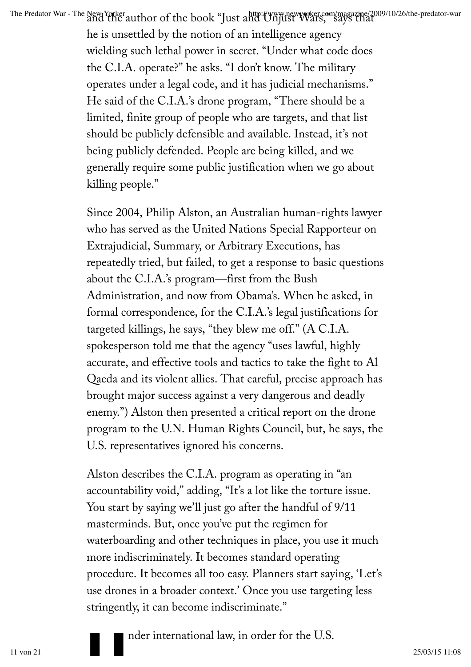The Predator War - The New Yorker author of the book "Just and Unjust Wars," says that That The predator-war he is unsettled by the notion of an intelligence agency wielding such lethal power in secret. "Under what code does the C.I.A. operate?" he asks. "I don't know. The military operates under a legal code, and it has judicial mechanisms." He said of the C.I.A.'s drone program, "There should be a limited, finite group of people who are targets, and that list should be publicly defensible and available. Instead, it's not

being publicly defended. People are being killed, and we generally require some public justification when we go about killing people."

Since 2004, Philip Alston, an Australian human-rights lawyer who has served as the United Nations Special Rapporteur on Extrajudicial, Summary, or Arbitrary Executions, has repeatedly tried, but failed, to get a response to basic questions about the C.I.A.'s program—first from the Bush Administration, and now from Obama's. When he asked, in formal correspondence, for the C.I.A.'s legal justifications for targeted killings, he says, "they blew me off." (A C.I.A. spokesperson told me that the agency "uses lawful, highly accurate, and effective tools and tactics to take the fight to Al Qaeda and its violent allies. That careful, precise approach has brought major success against a very dangerous and deadly enemy.") Alston then presented a critical report on the drone program to the U.N. Human Rights Council, but, he says, the U.S. representatives ignored his concerns.

Alston describes the C.I.A. program as operating in "an accountability void," adding, "It's a lot like the torture issue. You start by saying we'll just go after the handful of 9/11 masterminds. But, once you've put the regimen for waterboarding and other techniques in place, you use it much more indiscriminately. It becomes standard operating procedure. It becomes all too easy. Planners start saying, 'Let's use drones in a broader context.' Once you use targeting less stringently, it can become indiscriminate."

**U** nder international law, in order for the U.S.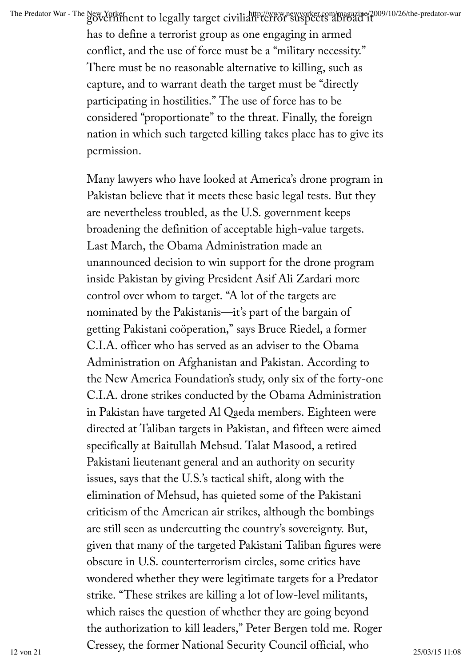The Predator War - The New Yorker http://www.newyorker.com/magazine/2009/10/26/the-predator-war<br>Government to legally target civilian terror suspects abroad it has to define a terrorist group as one engaging in armed conflict, and the use of force must be a "military necessity." There must be no reasonable alternative to killing, such as capture, and to warrant death the target must be "directly participating in hostilities." The use of force has to be considered "proportionate" to the threat. Finally, the foreign nation in which such targeted killing takes place has to give its

permission.

Many lawyers who have looked at America's drone program in Pakistan believe that it meets these basic legal tests. But they are nevertheless troubled, as the U.S. government keeps broadening the definition of acceptable high-value targets. Last March, the Obama Administration made an unannounced decision to win support for the drone program inside Pakistan by giving President Asif Ali Zardari more control over whom to target. "A lot of the targets are nominated by the Pakistanis—it's part of the bargain of getting Pakistani coöperation," says Bruce Riedel, a former C.I.A. officer who has served as an adviser to the Obama Administration on Afghanistan and Pakistan. According to the New America Foundation's study, only six of the forty-one C.I.A. drone strikes conducted by the Obama Administration in Pakistan have targeted Al Qaeda members. Eighteen were directed at Taliban targets in Pakistan, and fifteen were aimed specifically at Baitullah Mehsud. Talat Masood, a retired Pakistani lieutenant general and an authority on security issues, says that the U.S.'s tactical shift, along with the elimination of Mehsud, has quieted some of the Pakistani criticism of the American air strikes, although the bombings are still seen as undercutting the country's sovereignty. But, given that many of the targeted Pakistani Taliban figures were obscure in U.S. counterterrorism circles, some critics have wondered whether they were legitimate targets for a Predator strike. "These strikes are killing a lot of low-level militants, which raises the question of whether they are going beyond the authorization to kill leaders," Peter Bergen told me. Roger

12 von 21 Cressey, the former National Security Council official, who 25/03/15 11:08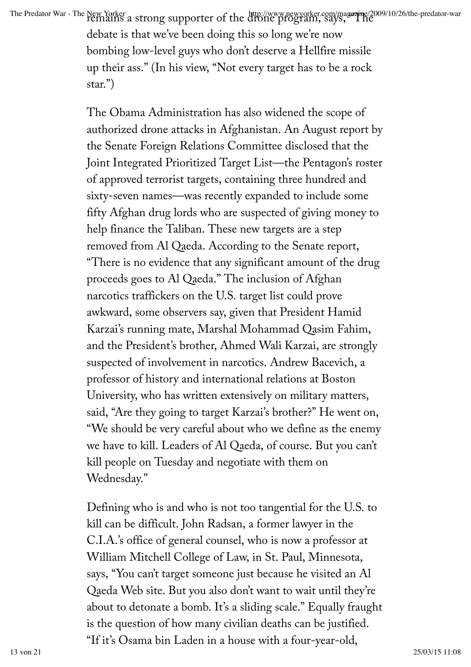The Predator War - The New Yorker  $a$  strong supporter of the drone program, says, "The  $^{0.2009/10/26{\rm/h}}$ e-predator-war debate is that we've been doing this so long we're now bombing low-level guys who don't deserve a Hellfire missile up their ass." (In his view, "Not every target has to be a rock star.")

> The Obama Administration has also widened the scope of authorized drone attacks in Afghanistan. An August report by the Senate Foreign Relations Committee disclosed that the Joint Integrated Prioritized Target List—the Pentagon's roster of approved terrorist targets, containing three hundred and sixty-seven names—was recently expanded to include some fifty Afghan drug lords who are suspected of giving money to help finance the Taliban. These new targets are a step removed from Al Qaeda. According to the Senate report, "There is no evidence that any significant amount of the drug proceeds goes to Al Qaeda." The inclusion of Afghan narcotics traffickers on the U.S. target list could prove awkward, some observers say, given that President Hamid Karzai's running mate, Marshal Mohammad Qasim Fahim, and the President's brother, Ahmed Wali Karzai, are strongly suspected of involvement in narcotics. Andrew Bacevich, a professor of history and international relations at Boston University, who has written extensively on military matters, said, "Are they going to target Karzai's brother?" He went on, "We should be very careful about who we define as the enemy we have to kill. Leaders of Al Qaeda, of course. But you can't kill people on Tuesday and negotiate with them on Wednesday."

> Defining who is and who is not too tangential for the U.S. to kill can be difficult. John Radsan, a former lawyer in the C.I.A.'s office of general counsel, who is now a professor at William Mitchell College of Law, in St. Paul, Minnesota, says, "You can't target someone just because he visited an Al Qaeda Web site. But you also don't want to wait until they're about to detonate a bomb. It's a sliding scale." Equally fraught is the question of how many civilian deaths can be justified. "If it's Osama bin Laden in a house with a four-year-old,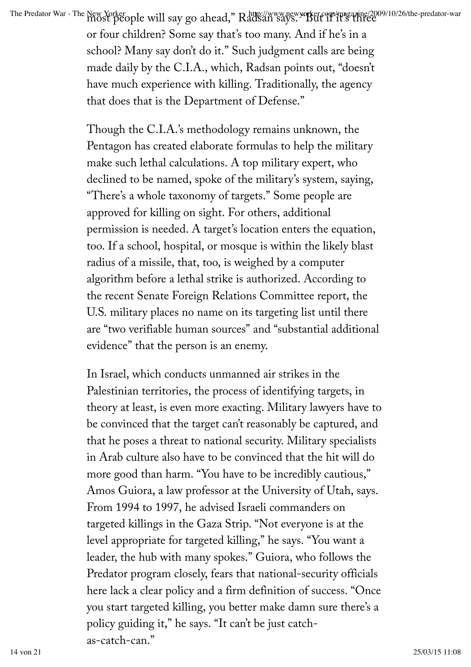The Predator War - The New Yorker people will say go ahead," Radsan says." But if it sthree 2009/10/26/the-predator-war or four children? Some say that's too many. And if he's in a school? Many say don't do it." Such judgment calls are being made daily by the C.I.A., which, Radsan points out, "doesn't have much experience with killing. Traditionally, the agency that does that is the Department of Defense."

> Though the C.I.A.'s methodology remains unknown, the Pentagon has created elaborate formulas to help the military make such lethal calculations. A top military expert, who declined to be named, spoke of the military's system, saying, "There's a whole taxonomy of targets." Some people are approved for killing on sight. For others, additional permission is needed. A target's location enters the equation, too. If a school, hospital, or mosque is within the likely blast radius of a missile, that, too, is weighed by a computer algorithm before a lethal strike is authorized. According to the recent Senate Foreign Relations Committee report, the U.S. military places no name on its targeting list until there are "two verifiable human sources" and "substantial additional evidence" that the person is an enemy.

In Israel, which conducts unmanned air strikes in the Palestinian territories, the process of identifying targets, in theory at least, is even more exacting. Military lawyers have to be convinced that the target can't reasonably be captured, and that he poses a threat to national security. Military specialists in Arab culture also have to be convinced that the hit will do more good than harm. "You have to be incredibly cautious," Amos Guiora, a law professor at the University of Utah, says. From 1994 to 1997, he advised Israeli commanders on targeted killings in the Gaza Strip. "Not everyone is at the level appropriate for targeted killing," he says. "You want a leader, the hub with many spokes." Guiora, who follows the Predator program closely, fears that national-security officials here lack a clear policy and a firm definition of success. "Once you start targeted killing, you better make damn sure there's a policy guiding it," he says. "It can't be just catchas-catch-can."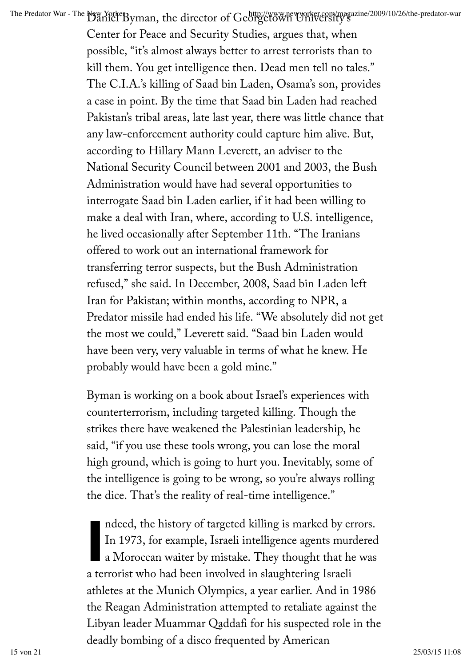The Predator War - The  $\rm Nsw\,Yorke\,Byman,$  the director of Georgetown University's  $\rm Nsw\,S\,B}$ Center for Peace and Security Studies, argues that, when possible, "it's almost always better to arrest terrorists than to kill them. You get intelligence then. Dead men tell no tales." The C.I.A.'s killing of Saad bin Laden, Osama's son, provides a case in point. By the time that Saad bin Laden had reached Pakistan's tribal areas, late last year, there was little chance that any law-enforcement authority could capture him alive. But, according to Hillary Mann Leverett, an adviser to the National Security Council between 2001 and 2003, the Bush Administration would have had several opportunities to interrogate Saad bin Laden earlier, if it had been willing to make a deal with Iran, where, according to U.S. intelligence, he lived occasionally after September 11th. "The Iranians offered to work out an international framework for transferring terror suspects, but the Bush Administration refused," she said. In December, 2008, Saad bin Laden left Iran for Pakistan; within months, according to NPR, a Predator missile had ended his life. "We absolutely did not get the most we could," Leverett said. "Saad bin Laden would

> Byman is working on a book about Israel's experiences with counterterrorism, including targeted killing. Though the strikes there have weakened the Palestinian leadership, he said, "if you use these tools wrong, you can lose the moral high ground, which is going to hurt you. Inevitably, some of the intelligence is going to be wrong, so you're always rolling the dice. That's the reality of real-time intelligence."

have been very, very valuable in terms of what he knew. He

probably would have been a gold mine."

In 1973, for example, Israeli intelligence agents mur<br>
a Moroccan waiter by mistake. They thought that h<br>
a terrorist who had been involved in slaughtering Israeli ndeed, the history of targeted killing is marked by errors. In 1973, for example, Israeli intelligence agents murdered a Moroccan waiter by mistake. They thought that he was athletes at the Munich Olympics, a year earlier. And in 1986 the Reagan Administration attempted to retaliate against the Libyan leader Muammar Qaddafi for his suspected role in the deadly bombing of a disco frequented by American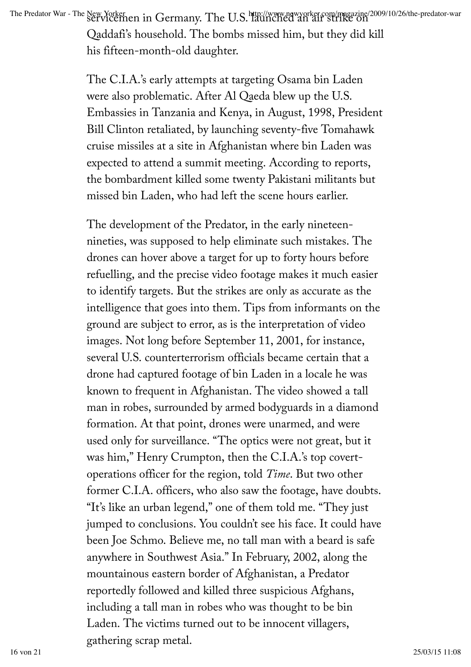The Predator War - The New Yorker en in Germany. The U.S. launched an air strike on  $\mu_{\rm max}$  (2009/10/26/the-predator-war Qaddafi's household. The bombs missed him, but they did kill his fifteen-month-old daughter.

> The C.I.A.'s early attempts at targeting Osama bin Laden were also problematic. After Al Qaeda blew up the U.S. Embassies in Tanzania and Kenya, in August, 1998, President Bill Clinton retaliated, by launching seventy-five Tomahawk cruise missiles at a site in Afghanistan where bin Laden was expected to attend a summit meeting. According to reports, the bombardment killed some twenty Pakistani militants but missed bin Laden, who had left the scene hours earlier.

> The development of the Predator, in the early nineteennineties, was supposed to help eliminate such mistakes. The drones can hover above a target for up to forty hours before refuelling, and the precise video footage makes it much easier to identify targets. But the strikes are only as accurate as the intelligence that goes into them. Tips from informants on the ground are subject to error, as is the interpretation of video images. Not long before September 11, 2001, for instance, several U.S. counterterrorism officials became certain that a drone had captured footage of bin Laden in a locale he was known to frequent in Afghanistan. The video showed a tall man in robes, surrounded by armed bodyguards in a diamond formation. At that point, drones were unarmed, and were used only for surveillance. "The optics were not great, but it was him," Henry Crumpton, then the C.I.A.'s top covertoperations officer for the region, told *Time*. But two other former C.I.A. officers, who also saw the footage, have doubts. "It's like an urban legend," one of them told me. "They just jumped to conclusions. You couldn't see his face. It could have been Joe Schmo. Believe me, no tall man with a beard is safe anywhere in Southwest Asia." In February, 2002, along the mountainous eastern border of Afghanistan, a Predator reportedly followed and killed three suspicious Afghans, including a tall man in robes who was thought to be bin Laden. The victims turned out to be innocent villagers, gathering scrap metal.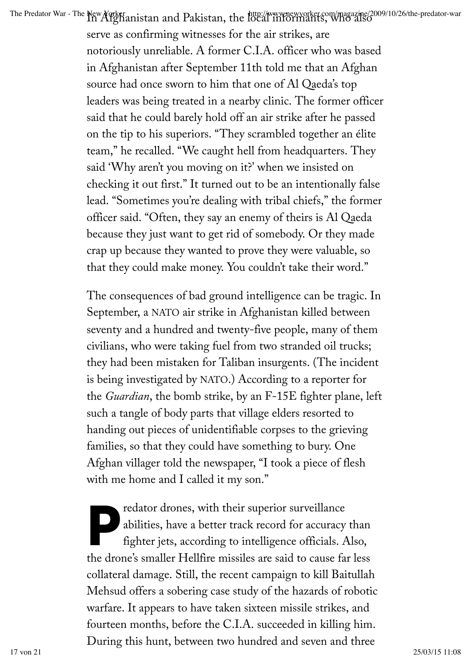The Predator War - The New Yorker anistan and Pakistan, the foth informatics, who also 2009/10/26/the-predator-war The New Yorker http://www.newy.orker.com/magazine/2009/10/26/the-predator-war serve as confirming witnesses for the air strikes, are notoriously unreliable. A former C.I.A. officer who was based in Afghanistan after September 11th told me that an Afghan source had once sworn to him that one of Al Qaeda's top leaders was being treated in a nearby clinic. The former officer said that he could barely hold off an air strike after he passed on the tip to his superiors. "They scrambled together an élite team," he recalled. "We caught hell from headquarters. They said 'Why aren't you moving on it?' when we insisted on checking it out first." It turned out to be an intentionally false lead. "Sometimes you're dealing with tribal chiefs," the former officer said. "Often, they say an enemy of theirs is Al Qaeda because they just want to get rid of somebody. Or they made crap up because they wanted to prove they were valuable, so that they could make money. You couldn't take their word."

> The consequences of bad ground intelligence can be tragic. In September, a NATO air strike in Afghanistan killed between seventy and a hundred and twenty-five people, many of them civilians, who were taking fuel from two stranded oil trucks; they had been mistaken for Taliban insurgents. (The incident is being investigated by NATO.) According to a reporter for the *Guardian*, the bomb strike, by an F-15E fighter plane, left such a tangle of body parts that village elders resorted to handing out pieces of unidentifiable corpses to the grieving families, so that they could have something to bury. One Afghan villager told the newspaper, "I took a piece of flesh with me home and I called it my son."

abilities, have a better track record for accuracy than fighter jets, according to intelligence officials. Also, the drone's smaller Hellfire missiles are said to cause far less redator drones, with their superior surveillance abilities, have a better track record for accuracy than fighter jets, according to intelligence officials. Also, collateral damage. Still, the recent campaign to kill Baitullah Mehsud offers a sobering case study of the hazards of robotic warfare. It appears to have taken sixteen missile strikes, and fourteen months, before the C.I.A. succeeded in killing him. During this hunt, between two hundred and seven and three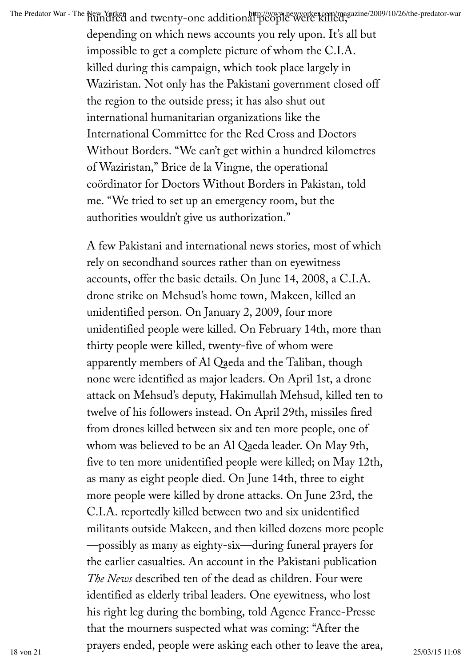The Predator War - The New Yorker and twenty-one additional people were killed, The Predator-war http://www.newyorker.com/magazine/2009/10/26/the-predator-war depending on which news accounts you rely upon. It's all but

impossible to get a complete picture of whom the C.I.A. killed during this campaign, which took place largely in Waziristan. Not only has the Pakistani government closed off the region to the outside press; it has also shut out international humanitarian organizations like the International Committee for the Red Cross and Doctors Without Borders. "We can't get within a hundred kilometres of Waziristan," Brice de la Vingne, the operational coördinator for Doctors Without Borders in Pakistan, told me. "We tried to set up an emergency room, but the authorities wouldn't give us authorization."

A few Pakistani and international news stories, most of which rely on secondhand sources rather than on eyewitness accounts, offer the basic details. On June 14, 2008, a C.I.A. drone strike on Mehsud's home town, Makeen, killed an unidentified person. On January 2, 2009, four more unidentified people were killed. On February 14th, more than thirty people were killed, twenty-five of whom were apparently members of Al Qaeda and the Taliban, though none were identified as major leaders. On April 1st, a drone attack on Mehsud's deputy, Hakimullah Mehsud, killed ten to twelve of his followers instead. On April 29th, missiles fired from drones killed between six and ten more people, one of whom was believed to be an Al Qaeda leader. On May 9th, five to ten more unidentified people were killed; on May 12th, as many as eight people died. On June 14th, three to eight more people were killed by drone attacks. On June 23rd, the C.I.A. reportedly killed between two and six unidentified militants outside Makeen, and then killed dozens more people —possibly as many as eighty-six—during funeral prayers for the earlier casualties. An account in the Pakistani publication *The News* described ten of the dead as children. Four were identified as elderly tribal leaders. One eyewitness, who lost his right leg during the bombing, told Agence France-Presse that the mourners suspected what was coming: "After the prayers ended, people were asking each other to leave the area, 18 von 21 25/03/15 11:08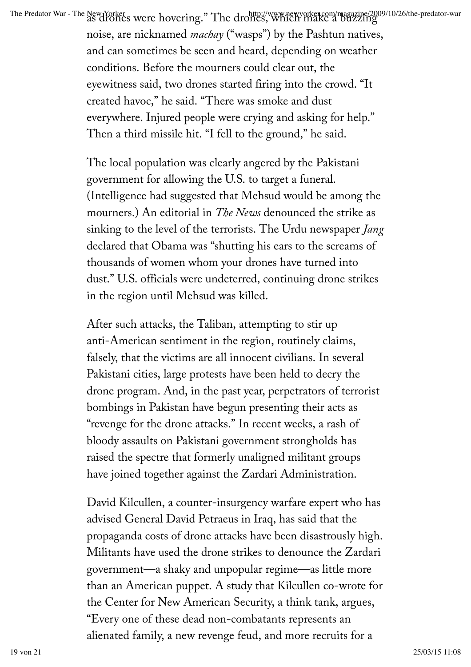The Predator War - The New Yorker, were hovering." The drones, which make a buzzing magazine/2009/10/26/the-predator-war noise, are nicknamed *machay* ("wasps") by the Pashtun natives, and can sometimes be seen and heard, depending on weather conditions. Before the mourners could clear out, the eyewitness said, two drones started firing into the crowd. "It created havoc," he said. "There was smoke and dust

everywhere. Injured people were crying and asking for help." Then a third missile hit. "I fell to the ground," he said.

The local population was clearly angered by the Pakistani government for allowing the U.S. to target a funeral. (Intelligence had suggested that Mehsud would be among the mourners.) An editorial in *The News* denounced the strike as sinking to the level of the terrorists. The Urdu newspaper *Jang* declared that Obama was "shutting his ears to the screams of thousands of women whom your drones have turned into dust." U.S. officials were undeterred, continuing drone strikes in the region until Mehsud was killed.

After such attacks, the Taliban, attempting to stir up anti-American sentiment in the region, routinely claims, falsely, that the victims are all innocent civilians. In several Pakistani cities, large protests have been held to decry the drone program. And, in the past year, perpetrators of terrorist bombings in Pakistan have begun presenting their acts as "revenge for the drone attacks." In recent weeks, a rash of bloody assaults on Pakistani government strongholds has raised the spectre that formerly unaligned militant groups have joined together against the Zardari Administration.

David Kilcullen, a counter-insurgency warfare expert who has advised General David Petraeus in Iraq, has said that the propaganda costs of drone attacks have been disastrously high. Militants have used the drone strikes to denounce the Zardari government—a shaky and unpopular regime—as little more than an American puppet. A study that Kilcullen co-wrote for the Center for New American Security, a think tank, argues, "Every one of these dead non-combatants represents an alienated family, a new revenge feud, and more recruits for a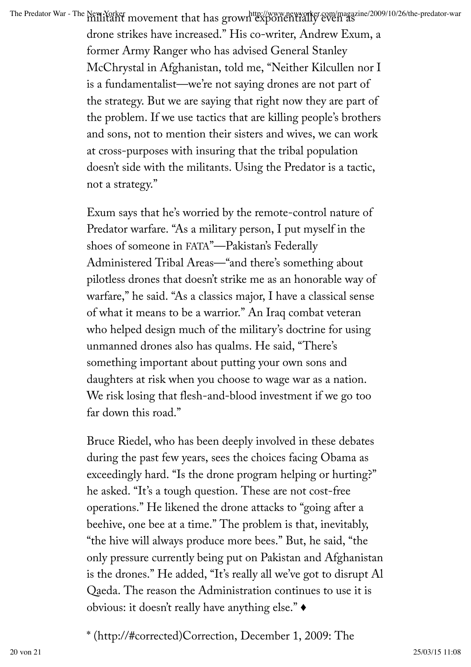The Predator War - The New Yorker movement that has grown exponentially even as

drone strikes have increased." His co-writer, Andrew Exum, a former Army Ranger who has advised General Stanley McChrystal in Afghanistan, told me, "Neither Kilcullen nor I is a fundamentalist—we're not saying drones are not part of the strategy. But we are saying that right now they are part of the problem. If we use tactics that are killing people's brothers and sons, not to mention their sisters and wives, we can work at cross-purposes with insuring that the tribal population doesn't side with the militants. Using the Predator is a tactic, not a strategy."

Exum says that he's worried by the remote-control nature of Predator warfare. "As a military person, I put myself in the shoes of someone in FATA"—Pakistan's Federally Administered Tribal Areas—"and there's something about pilotless drones that doesn't strike me as an honorable way of warfare," he said. "As a classics major, I have a classical sense of what it means to be a warrior." An Iraq combat veteran who helped design much of the military's doctrine for using unmanned drones also has qualms. He said, "There's something important about putting your own sons and daughters at risk when you choose to wage war as a nation. We risk losing that flesh-and-blood investment if we go too far down this road."

Bruce Riedel, who has been deeply involved in these debates during the past few years, sees the choices facing Obama as exceedingly hard. "Is the drone program helping or hurting?" he asked. "It's a tough question. These are not cost-free operations." He likened the drone attacks to "going after a beehive, one bee at a time." The problem is that, inevitably, "the hive will always produce more bees." But, he said, "the only pressure currently being put on Pakistan and Afghanistan is the drones." He added, "It's really all we've got to disrupt Al Qaeda. The reason the Administration continues to use it is obvious: it doesn't really have anything else." ♦

\* (http://#corrected)Correction, December 1, 2009: The